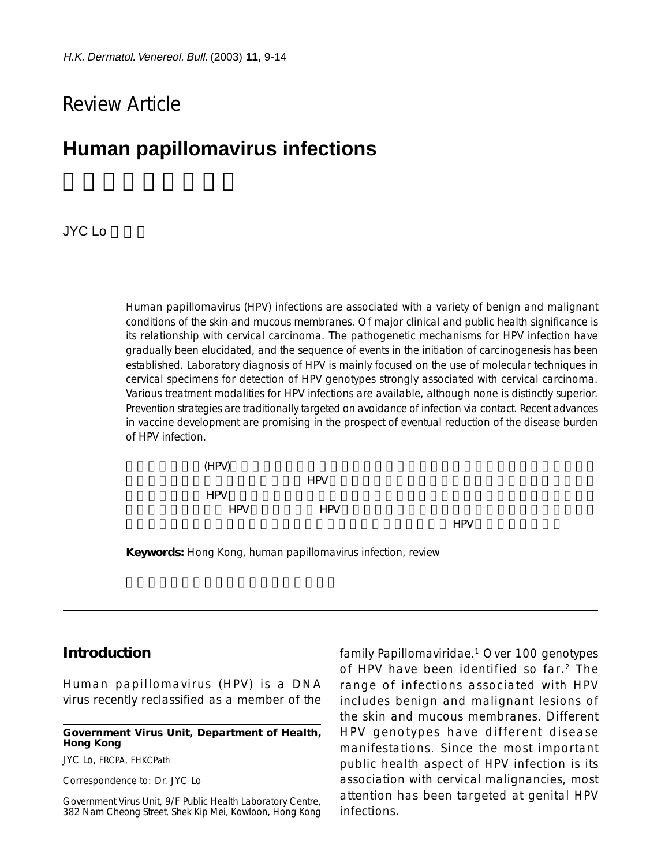# Review Article

# **Human papillomavirus infections**

## JYC Lo

Human papillomavirus (HPV) infections are associated with a variety of benign and malignant conditions of the skin and mucous membranes. Of major clinical and public health significance is its relationship with cervical carcinoma. The pathogenetic mechanisms for HPV infection have gradually been elucidated, and the sequence of events in the initiation of carcinogenesis has been established. Laboratory diagnosis of HPV is mainly focused on the use of molecular techniques in cervical specimens for detection of HPV genotypes strongly associated with cervical carcinoma. Various treatment modalities for HPV infections are available, although none is distinctly superior. Prevention strategies are traditionally targeted on avoidance of infection via contact. Recent advances in vaccine development are promising in the prospect of eventual reduction of the disease burden of HPV infection.



**Keywords:** Hong Kong, human papillomavirus infection, review

# **Introduction**

Human papillomavirus (HPV) is a DNA virus recently reclassified as a member of the

**Government Virus Unit, Department of Health, Hong Kong**

JYC Lo, FRCPA, FHKCPath

Correspondence to: Dr. JYC Lo

Government Virus Unit, 9/F Public Health Laboratory Centre, 382 Nam Cheong Street, Shek Kip Mei, Kowloon, Hong Kong family Papillomaviridae.1 Over 100 genotypes of HPV have been identified so far.2 The range of infections associated with HPV includes benign and malignant lesions of the skin and mucous membranes. Different HPV genotypes have different disease manifestations. Since the most important public health aspect of HPV infection is its association with cervical malignancies, most attention has been targeted at genital HPV infections.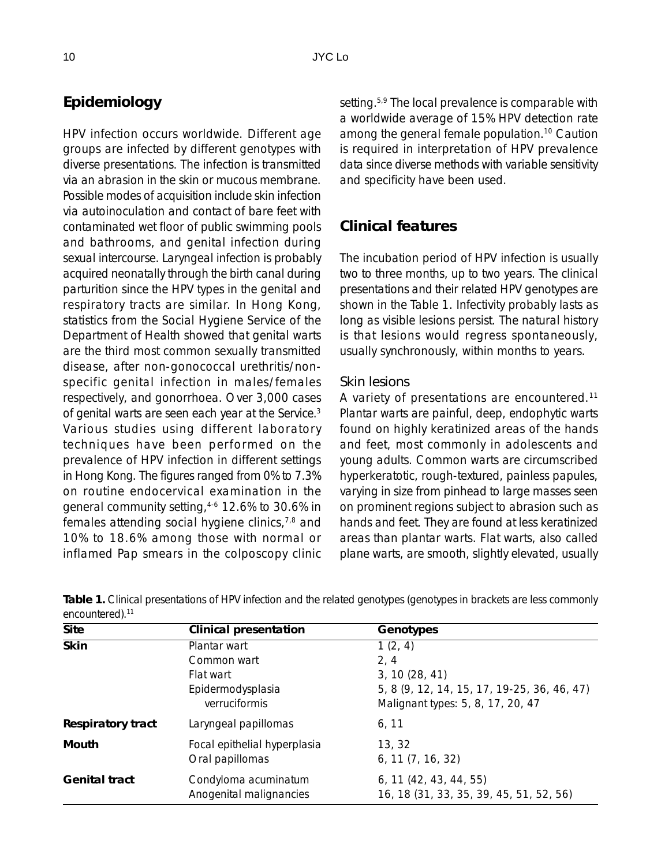# **Epidemiology**

HPV infection occurs worldwide. Different age groups are infected by different genotypes with diverse presentations. The infection is transmitted via an abrasion in the skin or mucous membrane. Possible modes of acquisition include skin infection via autoinoculation and contact of bare feet with contaminated wet floor of public swimming pools and bathrooms, and genital infection during sexual intercourse. Laryngeal infection is probably acquired neonatally through the birth canal during parturition since the HPV types in the genital and respiratory tracts are similar. In Hong Kong, statistics from the Social Hygiene Service of the Department of Health showed that genital warts are the third most common sexually transmitted disease, after non-gonococcal urethritis/nonspecific genital infection in males/females respectively, and gonorrhoea. Over 3,000 cases of genital warts are seen each year at the Service.<sup>3</sup> Various studies using different laboratory techniques have been performed on the prevalence of HPV infection in different settings in Hong Kong. The figures ranged from 0% to 7.3% on routine endocervical examination in the general community setting,4-6 12.6% to 30.6% in females attending social hygiene clinics,7,8 and 10% to 18.6% among those with normal or inflamed Pap smears in the colposcopy clinic setting.<sup>5,9</sup> The local prevalence is comparable with a worldwide average of 15% HPV detection rate among the general female population.10 Caution is required in interpretation of HPV prevalence data since diverse methods with variable sensitivity and specificity have been used.

# **Clinical features**

The incubation period of HPV infection is usually two to three months, up to two years. The clinical presentations and their related HPV genotypes are shown in the Table 1. Infectivity probably lasts as long as visible lesions persist. The natural history is that lesions would regress spontaneously, usually synchronously, within months to years.

## *Skin lesions*

A variety of presentations are encountered.11 Plantar warts are painful, deep, endophytic warts found on highly keratinized areas of the hands and feet, most commonly in adolescents and young adults. Common warts are circumscribed hyperkeratotic, rough-textured, painless papules, varying in size from pinhead to large masses seen on prominent regions subject to abrasion such as hands and feet. They are found at less keratinized areas than plantar warts. Flat warts, also called plane warts, are smooth, slightly elevated, usually

| <b>Site</b>          | Clinical presentation                           | Genotypes                                                           |
|----------------------|-------------------------------------------------|---------------------------------------------------------------------|
| <b>Skin</b>          | Plantar wart                                    | 1(2, 4)                                                             |
|                      | Common wart                                     | 2, 4                                                                |
|                      | Flat wart                                       | 3, 10(28, 41)                                                       |
|                      | Epidermodysplasia                               | 5, 8 (9, 12, 14, 15, 17, 19-25, 36, 46, 47)                         |
|                      | verruciformis                                   | Malignant types: 5, 8, 17, 20, 47                                   |
| Respiratory tract    | Laryngeal papillomas                            | 6, 11                                                               |
| Mouth                | Focal epithelial hyperplasia                    | 13, 32                                                              |
|                      | Oral papillomas                                 | $6, 11$ $(7, 16, 32)$                                               |
| <b>Genital tract</b> | Condyloma acuminatum<br>Anogenital malignancies | $6, 11$ (42, 43, 44, 55)<br>16, 18 (31, 33, 35, 39, 45, 51, 52, 56) |

**Table 1.** Clinical presentations of HPV infection and the related genotypes (genotypes in brackets are less commonly encountered).<sup>11</sup>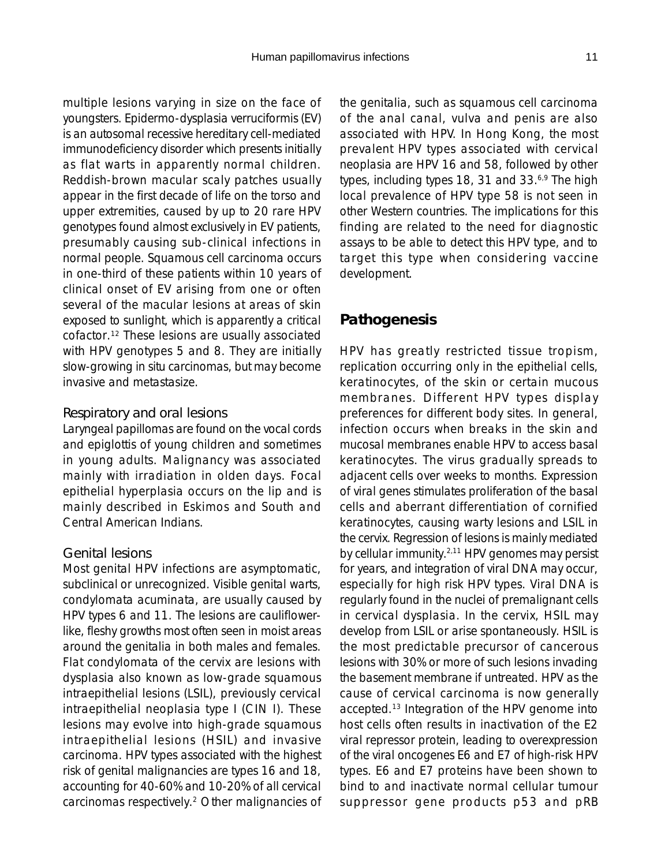multiple lesions varying in size on the face of youngsters. Epidermo-dysplasia verruciformis (EV) is an autosomal recessive hereditary cell-mediated immunodeficiency disorder which presents initially as flat warts in apparently normal children. Reddish-brown macular scaly patches usually appear in the first decade of life on the torso and upper extremities, caused by up to 20 rare HPV genotypes found almost exclusively in EV patients, presumably causing sub-clinical infections in normal people. Squamous cell carcinoma occurs in one-third of these patients within 10 years of clinical onset of EV arising from one or often several of the macular lesions at areas of skin exposed to sunlight, which is apparently a critical cofactor.12 These lesions are usually associated with HPV genotypes 5 and 8. They are initially slow-growing in situ carcinomas, but may become invasive and metastasize.

#### *Respiratory and oral lesions*

Laryngeal papillomas are found on the vocal cords and epiglottis of young children and sometimes in young adults. Malignancy was associated mainly with irradiation in olden days. Focal epithelial hyperplasia occurs on the lip and is mainly described in Eskimos and South and Central American Indians.

### *Genital lesions*

Most genital HPV infections are asymptomatic, subclinical or unrecognized. Visible genital warts, condylomata acuminata, are usually caused by HPV types 6 and 11. The lesions are cauliflowerlike, fleshy growths most often seen in moist areas around the genitalia in both males and females. Flat condylomata of the cervix are lesions with dysplasia also known as low-grade squamous intraepithelial lesions (LSIL), previously cervical intraepithelial neoplasia type I (CIN I). These lesions may evolve into high-grade squamous intraepithelial lesions (HSIL) and invasive carcinoma. HPV types associated with the highest risk of genital malignancies are types 16 and 18, accounting for 40-60% and 10-20% of all cervical carcinomas respectively.2 Other malignancies of the genitalia, such as squamous cell carcinoma of the anal canal, vulva and penis are also associated with HPV. In Hong Kong, the most prevalent HPV types associated with cervical neoplasia are HPV 16 and 58, followed by other types, including types 18, 31 and 33.<sup>6,9</sup> The high local prevalence of HPV type 58 is not seen in other Western countries. The implications for this finding are related to the need for diagnostic assays to be able to detect this HPV type, and to target this type when considering vaccine development.

## **Pathogenesis**

HPV has greatly restricted tissue tropism, replication occurring only in the epithelial cells, keratinocytes, of the skin or certain mucous membranes. Different HPV types display preferences for different body sites. In general, infection occurs when breaks in the skin and mucosal membranes enable HPV to access basal keratinocytes. The virus gradually spreads to adjacent cells over weeks to months. Expression of viral genes stimulates proliferation of the basal cells and aberrant differentiation of cornified keratinocytes, causing warty lesions and LSIL in the cervix. Regression of lesions is mainly mediated by cellular immunity.<sup>2,11</sup> HPV genomes may persist for years, and integration of viral DNA may occur, especially for high risk HPV types. Viral DNA is regularly found in the nuclei of premalignant cells in cervical dysplasia. In the cervix, HSIL may develop from LSIL or arise spontaneously. HSIL is the most predictable precursor of cancerous lesions with 30% or more of such lesions invading the basement membrane if untreated. HPV as the cause of cervical carcinoma is now generally accepted.13 Integration of the HPV genome into host cells often results in inactivation of the E2 viral repressor protein, leading to overexpression of the viral oncogenes E6 and E7 of high-risk HPV types. E6 and E7 proteins have been shown to bind to and inactivate normal cellular tumour suppressor gene products p53 and pRB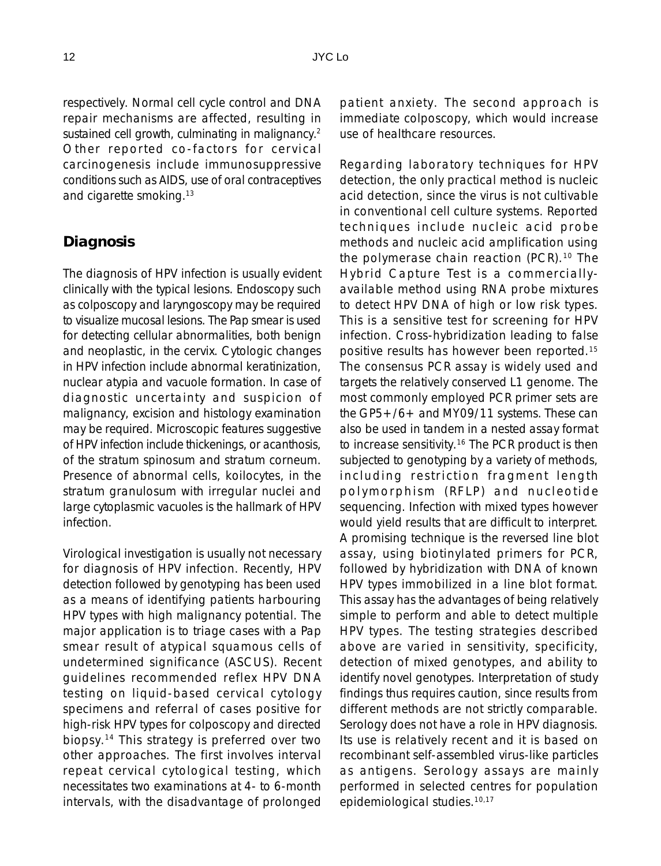respectively. Normal cell cycle control and DNA repair mechanisms are affected, resulting in sustained cell growth, culminating in malignancy.<sup>2</sup> Other reported co-factors for cervical carcinogenesis include immunosuppressive conditions such as AIDS, use of oral contraceptives and cigarette smoking.<sup>13</sup>

## **Diagnosis**

The diagnosis of HPV infection is usually evident clinically with the typical lesions. Endoscopy such as colposcopy and laryngoscopy may be required to visualize mucosal lesions. The Pap smear is used for detecting cellular abnormalities, both benign and neoplastic, in the cervix. Cytologic changes in HPV infection include abnormal keratinization, nuclear atypia and vacuole formation. In case of diagnostic uncertainty and suspicion of malignancy, excision and histology examination may be required. Microscopic features suggestive of HPV infection include thickenings, or acanthosis, of the stratum spinosum and stratum corneum. Presence of abnormal cells, koilocytes, in the stratum granulosum with irregular nuclei and large cytoplasmic vacuoles is the hallmark of HPV infection.

Virological investigation is usually not necessary for diagnosis of HPV infection. Recently, HPV detection followed by genotyping has been used as a means of identifying patients harbouring HPV types with high malignancy potential. The major application is to triage cases with a Pap smear result of atypical squamous cells of undetermined significance (ASCUS). Recent guidelines recommended reflex HPV DNA testing on liquid-based cervical cytology specimens and referral of cases positive for high-risk HPV types for colposcopy and directed biopsy.14 This strategy is preferred over two other approaches. The first involves interval repeat cervical cytological testing, which necessitates two examinations at 4- to 6-month intervals, with the disadvantage of prolonged

patient anxiety. The second approach is immediate colposcopy, which would increase use of healthcare resources.

Regarding laboratory techniques for HPV detection, the only practical method is nucleic acid detection, since the virus is not cultivable in conventional cell culture systems. Reported techniques include nucleic acid probe methods and nucleic acid amplification using the polymerase chain reaction (PCR).<sup>10</sup> The Hybrid Capture Test is a commerciallyavailable method using RNA probe mixtures to detect HPV DNA of high or low risk types. This is a sensitive test for screening for HPV infection. Cross-hybridization leading to false positive results has however been reported.15 The consensus PCR assay is widely used and targets the relatively conserved L1 genome. The most commonly employed PCR primer sets are the GP5+/6+ and MY09/11 systems. These can also be used in tandem in a nested assay format to increase sensitivity.16 The PCR product is then subjected to genotyping by a variety of methods, including restriction fragment length polymorphism (RFLP) and nucleotide sequencing. Infection with mixed types however would yield results that are difficult to interpret. A promising technique is the reversed line blot assay, using biotinylated primers for PCR, followed by hybridization with DNA of known HPV types immobilized in a line blot format. This assay has the advantages of being relatively simple to perform and able to detect multiple HPV types. The testing strategies described above are varied in sensitivity, specificity, detection of mixed genotypes, and ability to identify novel genotypes. Interpretation of study findings thus requires caution, since results from different methods are not strictly comparable. Serology does not have a role in HPV diagnosis. Its use is relatively recent and it is based on recombinant self-assembled virus-like particles as antigens. Serology assays are mainly performed in selected centres for population epidemiological studies.10,17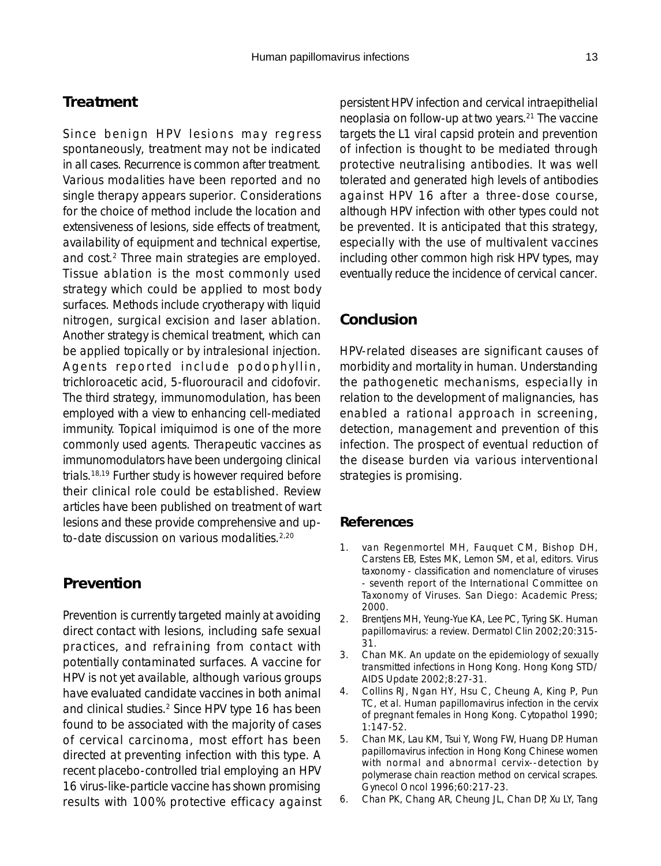# **Treatment**

Since benign HPV lesions may regress spontaneously, treatment may not be indicated in all cases. Recurrence is common after treatment. Various modalities have been reported and no single therapy appears superior. Considerations for the choice of method include the location and extensiveness of lesions, side effects of treatment, availability of equipment and technical expertise, and cost.2 Three main strategies are employed. Tissue ablation is the most commonly used strategy which could be applied to most body surfaces. Methods include cryotherapy with liquid nitrogen, surgical excision and laser ablation. Another strategy is chemical treatment, which can be applied topically or by intralesional injection. Agents reported include podophyllin, trichloroacetic acid, 5-fluorouracil and cidofovir. The third strategy, immunomodulation, has been employed with a view to enhancing cell-mediated immunity. Topical imiquimod is one of the more commonly used agents. Therapeutic vaccines as immunomodulators have been undergoing clinical trials.18,19 Further study is however required before their clinical role could be established. Review articles have been published on treatment of wart lesions and these provide comprehensive and upto-date discussion on various modalities.<sup>2,20</sup>

# **Prevention**

Prevention is currently targeted mainly at avoiding direct contact with lesions, including safe sexual practices, and refraining from contact with potentially contaminated surfaces. A vaccine for HPV is not yet available, although various groups have evaluated candidate vaccines in both animal and clinical studies.<sup>2</sup> Since HPV type 16 has been found to be associated with the majority of cases of cervical carcinoma, most effort has been directed at preventing infection with this type. A recent placebo-controlled trial employing an HPV 16 virus-like-particle vaccine has shown promising results with 100% protective efficacy against persistent HPV infection and cervical intraepithelial neoplasia on follow-up at two years.21 The vaccine targets the L1 viral capsid protein and prevention of infection is thought to be mediated through protective neutralising antibodies. It was well tolerated and generated high levels of antibodies against HPV 16 after a three-dose course, although HPV infection with other types could not be prevented. It is anticipated that this strategy, especially with the use of multivalent vaccines including other common high risk HPV types, may eventually reduce the incidence of cervical cancer.

# **Conclusion**

HPV-related diseases are significant causes of morbidity and mortality in human. Understanding the pathogenetic mechanisms, especially in relation to the development of malignancies, has enabled a rational approach in screening, detection, management and prevention of this infection. The prospect of eventual reduction of the disease burden via various interventional strategies is promising.

### **References**

- 1. van Regenmortel MH, Fauquet CM, Bishop DH, Carstens EB, Estes MK, Lemon SM, et al, editors. Virus taxonomy - classification and nomenclature of viruses - seventh report of the International Committee on Taxonomy of Viruses. San Diego: Academic Press; 2000.
- 2. Brentjens MH, Yeung-Yue KA, Lee PC, Tyring SK. Human papillomavirus: a review. Dermatol Clin 2002;20:315- 31.
- 3. Chan MK. An update on the epidemiology of sexually transmitted infections in Hong Kong. Hong Kong STD/ AIDS Update 2002;8:27-31.
- 4. Collins RJ, Ngan HY, Hsu C, Cheung A, King P, Pun TC, et al. Human papillomavirus infection in the cervix of pregnant females in Hong Kong. Cytopathol 1990; 1:147-52.
- 5. Chan MK, Lau KM, Tsui Y, Wong FW, Huang DP. Human papillomavirus infection in Hong Kong Chinese women with normal and abnormal cervix--detection by polymerase chain reaction method on cervical scrapes. Gynecol Oncol 1996;60:217-23.
- 6. Chan PK, Chang AR, Cheung JL, Chan DP, Xu LY, Tang